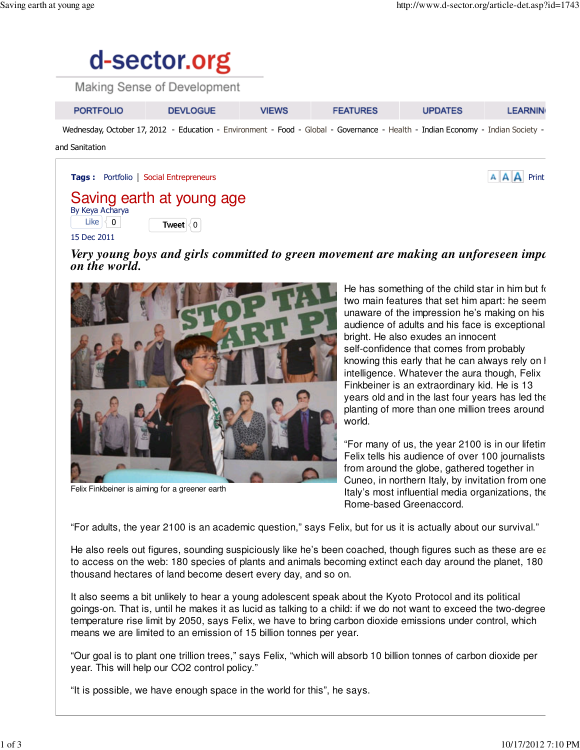

| <b>PORTFOLIO</b>                                                                                                                | <b>DEVLOGUE</b> | <b>VIEWS</b> | <b>FEATURES</b> | <b>UPDATES</b> | <b>LEARNIN</b> |
|---------------------------------------------------------------------------------------------------------------------------------|-----------------|--------------|-----------------|----------------|----------------|
| Wednesday, October 17, 2012 - Education - Environment - Food - Global - Governance - Health - Indian Economy - Indian Society - |                 |              |                 |                |                |
| and Canitation                                                                                                                  |                 |              |                 |                |                |

and Sanitation

Tags : Portfolio | Social Entrepreneurs Print and the state of the state of the state of the state of the Print

## Saving earth at young age By Keya Acharya Like  $\begin{matrix} 0 \\ 0 \end{matrix}$  **Tweet**  $\begin{matrix} 0 \\ 0 \end{matrix}$

15 Dec 2011

*Very young boys and girls committed to green movement are making an unforeseen impo on the world.*



Felix Finkbeiner is aiming for a greener earth

He has something of the child star in him but  $f(x)$ two main features that set him apart: he seem unaware of the impression he's making on his audience of adults and his face is exceptional bright. He also exudes an innocent self-confidence that comes from probably knowing this early that he can always rely on I intelligence. Whatever the aura though, Felix Finkbeiner is an extraordinary kid. He is 13 years old and in the last four years has led the planting of more than one million trees around world.

"For many of us, the year 2100 is in our lifetime", Felix tells his audience of over 100 journalists from around the globe, gathered together in Cuneo, in northern Italy, by invitation from one Italy's most influential media organizations, the Rome-based Greenaccord.

"For adults, the year 2100 is an academic question," says Felix, but for us it is actually about our survival."

He also reels out figures, sounding suspiciously like he's been coached, though figures such as these are easting to access on the web: 180 species of plants and animals becoming extinct each day around the planet, 180 thousand hectares of land become desert every day, and so on.

It also seems a bit unlikely to hear a young adolescent speak about the Kyoto Protocol and its political goings-on. That is, until he makes it as lucid as talking to a child: if we do not want to exceed the two-degree temperature rise limit by 2050, says Felix, we have to bring carbon dioxide emissions under control, which means we are limited to an emission of 15 billion tonnes per year.

"Our goal is to plant one trillion trees," says Felix, "which will absorb 10 billion tonnes of carbon dioxide per year. This will help our CO2 control policy."

"It is possible, we have enough space in the world for this", he says.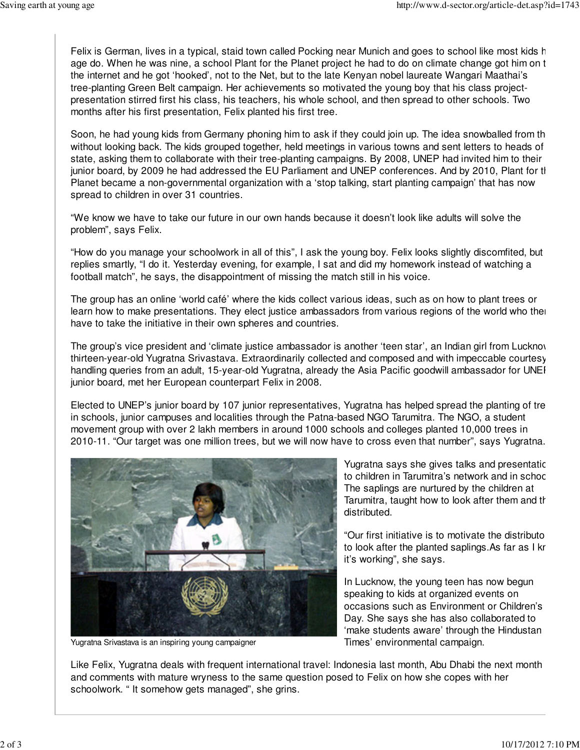Felix is German, lives in a typical, staid town called Pocking near Munich and goes to school like most kids h age do. When he was nine, a school Plant for the Planet project he had to do on climate change got him on t the internet and he got 'hooked', not to the Net, but to the late Kenyan nobel laureate Wangari Maathai's tree-planting Green Belt campaign. Her achievements so motivated the young boy that his class projectpresentation stirred first his class, his teachers, his whole school, and then spread to other schools. Two months after his first presentation, Felix planted his first tree.

Soon, he had young kids from Germany phoning him to ask if they could join up. The idea snowballed from the without looking back. The kids grouped together, held meetings in various towns and sent letters to heads of state, asking them to collaborate with their tree-planting campaigns. By 2008, UNEP had invited him to their junior board, by 2009 he had addressed the EU Parliament and UNEP conferences. And by 2010, Plant for the Planet became a non-governmental organization with a 'stop talking, start planting campaign' that has now spread to children in over 31 countries.

"We know we have to take our future in our own hands because it doesn't look like adults will solve the problem", says Felix.

"How do you manage your schoolwork in all of this", I ask the young boy. Felix looks slightly discomfited, but replies smartly, "I do it. Yesterday evening, for example, I sat and did my homework instead of watching a football match", he says, the disappointment of missing the match still in his voice.

The group has an online 'world café' where the kids collect various ideas, such as on how to plant trees or learn how to make presentations. They elect justice ambassadors from various regions of the world who then have to take the initiative in their own spheres and countries.

The group's vice president and 'climate justice ambassador is another 'teen star', an Indian girl from Lucknow thirteen-year-old Yugratna Srivastava. Extraordinarily collected and composed and with impeccable courtesy in handling queries from an adult, 15-year-old Yugratna, already the Asia Pacific goodwill ambassador for UNEI junior board, met her European counterpart Felix in 2008.

Elected to UNEP's junior board by 107 junior representatives, Yugratna has helped spread the planting of tre in schools, junior campuses and localities through the Patna-based NGO Tarumitra. The NGO, a student movement group with over 2 lakh members in around 1000 schools and colleges planted 10,000 trees in 2010-11. "Our target was one million trees, but we will now have to cross even that number", says Yugratna.



Yugratna Srivastava is an inspiring young campaigner

Yugratna says she gives talks and presentatic to children in Tarumitra's network and in schoc The saplings are nurtured by the children at Tarumitra, taught how to look after them and the distributed.

"Our first initiative is to motivate the distributo to look after the planted saplings. As far as I kr it's working", she says.

In Lucknow, the young teen has now begun speaking to kids at organized events on occasions such as Environment or Children's Day. She says she has also collaborated to 'make students aware' through the Hindustan Times' environmental campaign.

Like Felix, Yugratna deals with frequent international travel: Indonesia last month, Abu Dhabi the next month and comments with mature wryness to the same question posed to Felix on how she copes with her schoolwork. " It somehow gets managed", she grins.